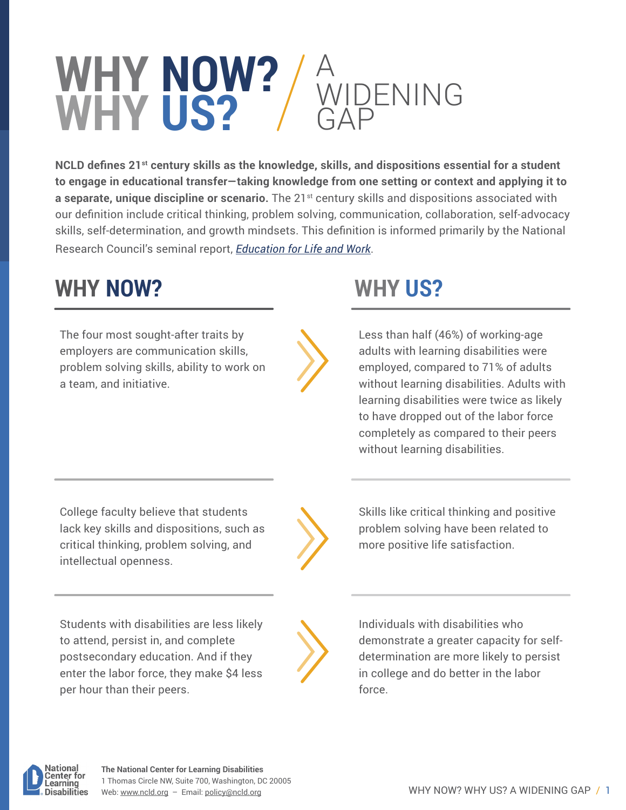## **WHY NOW? WHY US?** A WIDENING GAP

**NCLD defines 21st century skills as the knowledge, skills, and dispositions essential for a student to engage in educational transfer—taking knowledge from one setting or context and applying it to a separate, unique discipline or scenario.** The 21<sup>st</sup> century skills and dispositions associated with our definition include critical thinking, problem solving, communication, collaboration, self-advocacy skills, self-determination, and growth mindsets. This definition is informed primarily by the National Research Council's seminal report, *[Education for Life and Work](https://www.nap.edu/resource/13398/dbasse_084153.pdf)*.

# **WHY NOW? WHY US?**

The four most sought-after traits by employers are communication skills, problem solving skills, ability to work on a team, and initiative.

Less than half (46%) of working-age adults with learning disabilities were employed, compared to 71% of adults without learning disabilities. Adults with learning disabilities were twice as likely to have dropped out of the labor force completely as compared to their peers without learning disabilities.

College faculty believe that students lack key skills and dispositions, such as critical thinking, problem solving, and intellectual openness.

Students with disabilities are less likely to attend, persist in, and complete postsecondary education. And if they enter the labor force, they make \$4 less per hour than their peers.

Skills like critical thinking and positive problem solving have been related to more positive life satisfaction.

Individuals with disabilities who demonstrate a greater capacity for selfdetermination are more likely to persist in college and do better in the labor force.